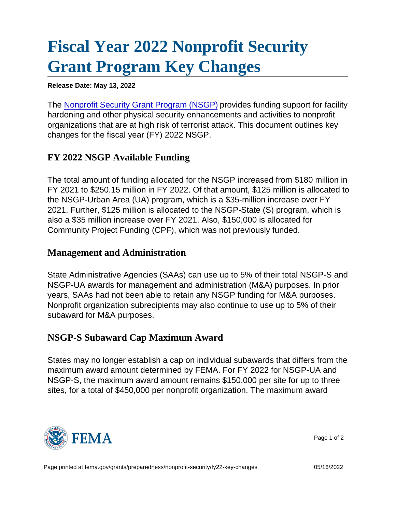## [Fiscal Year 2022 Nonprofit Security](https://edit.fema.gov/grants/preparedness/nonprofit-security/fy22-key-changes) [Grant Program Key Changes](https://edit.fema.gov/grants/preparedness/nonprofit-security/fy22-key-changes)

Release Date: May 13, 2022

The [Nonprofit Security Grant Program \(NSGP\)](https://edit.fema.gov/grants/preparedness/nonprofit-security) provides funding support for facility hardening and other physical security enhancements and activities to nonprofit organizations that are at high risk of terrorist attack. This document outlines key changes for the fiscal year (FY) 2022 NSGP.

## FY 2022 NSGP Available Funding

The total amount of funding allocated for the NSGP increased from \$180 million in FY 2021 to \$250.15 million in FY 2022. Of that amount, \$125 million is allocated to the NSGP-Urban Area (UA) program, which is a \$35-million increase over FY 2021. Further, \$125 million is allocated to the NSGP-State (S) program, which is also a \$35 million increase over FY 2021. Also, \$150,000 is allocated for Community Project Funding (CPF), which was not previously funded.

## Management and Administration

State Administrative Agencies (SAAs) can use up to 5% of their total NSGP-S and NSGP-UA awards for management and administration (M&A) purposes. In prior years, SAAs had not been able to retain any NSGP funding for M&A purposes. Nonprofit organization subrecipients may also continue to use up to 5% of their subaward for M&A purposes.

## NSGP-S Subaward Cap Maximum Award

States may no longer establish a cap on individual subawards that differs from the maximum award amount determined by FEMA. For FY 2022 for NSGP-UA and NSGP-S, the maximum award amount remains \$150,000 per site for up to three sites, for a total of \$450,000 per nonprofit organization. The maximum award



Page 1 of 2